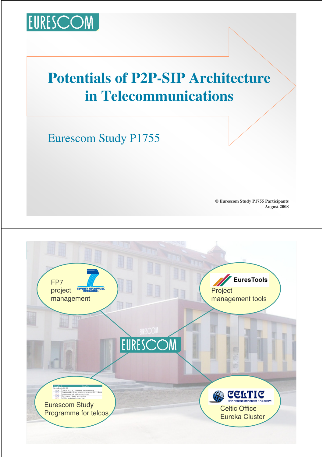

## **Potentials of P2P-SIP Architecture in Telecommunications**

Eurescom Study P1755

**© Eurescom Study P1755 Participants August 2008**

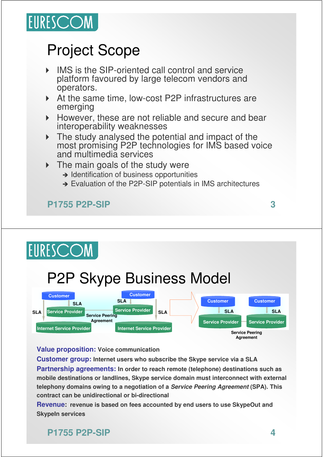

## Project Scope

- IMS is the SIP-oriented call control and service platform favoured by large telecom vendors and operators.
- ▶ At the same time, low-cost P2P infrastructures are emerging
- However, these are not reliable and secure and bear interoperability weaknesses
- $\triangleright$  The study analysed the potential and impact of the most promising P2P technologies for IMS based voice and multimedia services
- The main goals of the study were
	- $\rightarrow$  Identification of business opportunities
	- → Evaluation of the P2P-SIP potentials in IMS architectures

#### **P1755 P2P-SIP 3**

# **EURESCOM** P2P Skype Business Model



#### **Value proposition: Voice communication**

**Customer group: Internet users who subscribe the Skype service via a SLA Partnership agreements: In order to reach remote (telephone) destinations such as mobile destinations or landlines, Skype service domain must interconnect with external telephony domains owing to a negotiation of a Service Peering Agreement (SPA). This contract can be unidirectional or bi-directional**

**Revenue: revenue is based on fees accounted by end users to use SkypeOut and SkypeIn services**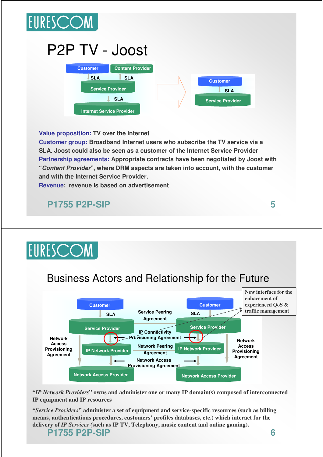

# P2P TV - Joost



**Value proposition: TV over the Internet**

**Customer group: Broadband Internet users who subscribe the TV service via a SLA. Joost could also be seen as a customer of the Internet Service Provider Partnership agreements: Appropriate contracts have been negotiated by Joost with "Content Provider", where DRM aspects are taken into account, with the customer and with the Internet Service Provider.**

**Revenue: revenue is based on advertisement**

**P1755 P2P-SIP 5**

# **EURESCOM**



**"***IP Network Providers***" owns and administer one or many IP domain(s) composed of interconnected IP equipment and IP resources**

**"***Service Providers***" administer a set of equipment and service-specific resources (such as billing means, authentications procedures, customers' profiles databases, etc.) which interact for the delivery of** *IP Services (***such as IP TV, Telephony, music content and online gaming).**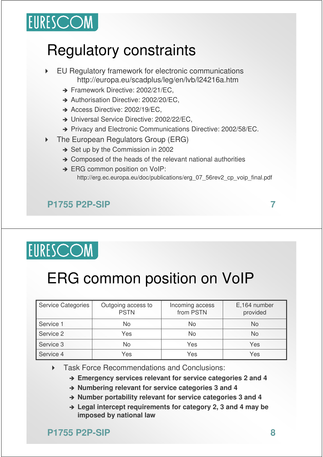# EURESCOM

# Regulatory constraints

- EU Regulatory framework for electronic communications http://europa.eu/scadplus/leg/en/lvb/l24216a.htm
	- → Framework Directive: 2002/21/EC,
	- → Authorisation Directive: 2002/20/EC,
	- → Access Directive: 2002/19/EC,
	- → Universal Service Directive: 2002/22/EC,
	- → Privacy and Electronic Communications Directive: 2002/58/EC.
- ▶ The European Regulators Group (ERG)
	- $\rightarrow$  Set up by the Commission in 2002
	- $\rightarrow$  Composed of the heads of the relevant national authorities
	- → ERG common position on VoIP: http://erg.ec.europa.eu/doc/publications/erg\_07\_56rev2\_cp\_voip\_final.pdf

### **P1755 P2P-SIP 7**

# EURESCOM

# ERG common position on VoIP

| <b>Service Categories</b> | Outgoing access to<br><b>PSTN</b> | Incoming access<br>from PSTN | E,164 number<br>provided |
|---------------------------|-----------------------------------|------------------------------|--------------------------|
| Service 1                 | No                                | No                           | <b>No</b>                |
| Service 2                 | Yes                               | No                           | <b>No</b>                |
| Service 3                 | <b>No</b>                         | Yes                          | Yes                      |
| Service 4                 | Yes                               | Yes                          | Yes                      |

#### **Task Force Recommendations and Conclusions:**

**Emergency services relevant for service categories 2 and 4**

- **Numbering relevant for service categories 3 and 4**
- **Number portability relevant for service categories 3 and 4**
- **Legal intercept requirements for category 2, 3 and 4 may be imposed by national law**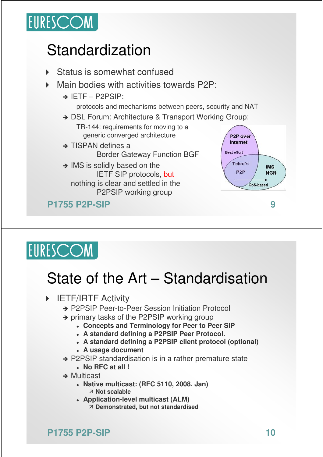

# Standardization

- Status is somewhat confused
- Main bodies with activities towards P2P:
	- → IETF P2PSIP:

protocols and mechanisms between peers, security and NAT

- → DSL Forum: Architecture & Transport Working Group:
	- TR-144: requirements for moving to a generic converged architecture
- $\rightarrow$  TISPAN defines a Border Gateway Function BGF
- $\rightarrow$  IMS is solidly based on the IETF SIP protocols, but nothing is clear and settled in the P2PSIP working group

**P1755 P2P-SIP 9**



# EURESCOM

# State of the Art – Standardisation

- **FIETF/IRTF Activity** 
	- → P2PSIP Peer-to-Peer Session Initiation Protocol
	- $\rightarrow$  primary tasks of the P2PSIP working group
		- **Concepts and Terminology for Peer to Peer SIP**
		- **A standard defining a P2PSIP Peer Protocol.**
		- **A standard defining a P2PSIP client protocol (optional)**
		- **A usage document**
	- → P2PSIP standardisation is in a rather premature state
		- **No RFC at all !**
	- $\rightarrow$  Multicast
		- **Native multicast: (RFC 5110, 2008. Jan) Not scalable**
		- **Application-level multicast (ALM) Demonstrated, but not standardised**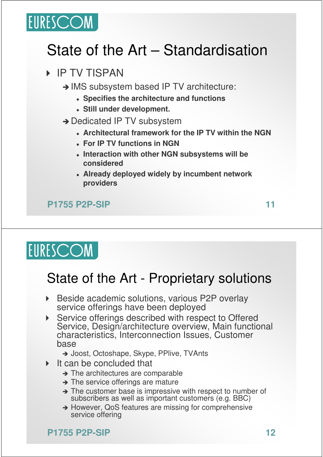

# State of the Art – Standardisation

### **IP TV TISPAN**

- → IMS subsystem based IP TV architecture:
	- **Specifies the architecture and functions**
	- **Still under development.**
- → Dedicated IP TV subsystem
	- **Architectural framework for the IP TV within the NGN**
	- **For IP TV functions in NGN**
	- **Interaction with other NGN subsystems will be considered**
	- **Already deployed widely by incumbent network providers**

**P1755 P2P-SIP 11**

# **EURESCOM**

## State of the Art - Proprietary solutions

- ▶ Beside academic solutions, various P2P overlay service offerings have been deployed
- Service offerings described with respect to Offered Service, Design/architecture overview, Main functional characteristics, Interconnection Issues, Customer base
	- → Joost, Octoshape, Skype, PPlive, TVAnts
- It can be concluded that
	- $\rightarrow$  The architectures are comparable
	- $\rightarrow$  The service offerings are mature
	- $\rightarrow$  The customer base is impressive with respect to number of subscribers as well as important customers (e.g. BBC)
	- → However, QoS features are missing for comprehensive service offering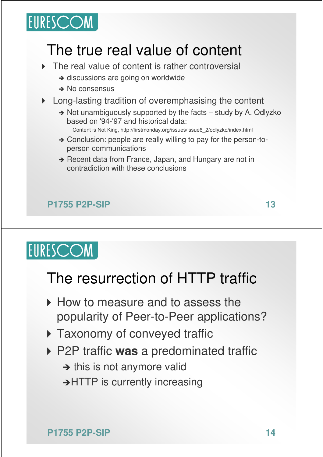

## The true real value of content

- ▶ The real value of content is rather controversial
	- → discussions are going on worldwide
	- $\rightarrow$  No consensus
- ▶ Long-lasting tradition of overemphasising the content
	- → Not unambiguously supported by the facts study by A. Odlyzko based on '94-'97 and historical data:
		- Content is Not King, http://firstmonday.org/issues/issue6\_2/odlyzko/index.html
	- → Conclusion: people are really willing to pay for the person-toperson communications
	- → Recent data from France, Japan, and Hungary are not in contradiction with these conclusions

### **P1755 P2P-SIP 13**

EURESCOM

## The resurrection of HTTP traffic

- ▶ How to measure and to assess the popularity of Peer-to-Peer applications?
- **Taxonomy of conveyed traffic**
- P2P traffic **was** a predominated traffic
	- $\rightarrow$  this is not anymore valid
	- → HTTP is currently increasing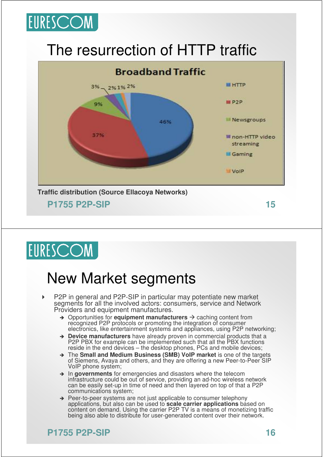

## The resurrection of HTTP traffic



# EURESCOM

## New Market segments

- P2P in general and P2P-SIP in particular may potentiate new market segments for all the involved actors: consumers, service and Network Providers and equipment manufactures.
	- $\rightarrow$  Opportunities for **equipment manufacturers**  $\rightarrow$  caching content from recognized P2P protocols or promoting the integration of consumer electronics, like entertainment systems and appliances, using P2P networking;
	- **Device manufacturers** have already proven in commercial products that a P2P PBX for example can be implemented such that all the PBX functions reside in the end devices – the desktop phones, PCs and mobile devices;
	- The **Small and Medium Business (SMB) VoIP market** is one of the targets of Siemens, Avaya and others, and they are offering a new Peer-to-Peer SIP VoIP phone system;
	- $\rightarrow$  In governments for emergencies and disasters where the telecom infrastructure could be out of service, providing an ad-hoc wireless network can be easily set-up in time of need and then layered on top of that a P2P communications system;
	- $\rightarrow$  Peer-to-peer systems are not just applicable to consumer telephony applications, but also can be used to **scale carrier applications** based on content on demand. Using the carrier P2P TV is a means of monetizing traffic being also able to distribute for user-generated content over their network.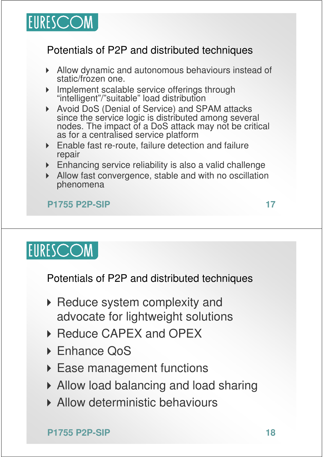

### Potentials of P2P and distributed techniques

- Allow dynamic and autonomous behaviours instead of static/frozen one.
- **Implement scalable service offerings through** "intelligent"/"suitable" load distribution
- ▶ Avoid DoS (Denial of Service) and SPAM attacks since the service logic is distributed among several nodes. The impact of a DoS attack may not be critical as for a centralised service platform
- Enable fast re-route, failure detection and failure repair
- Enhancing service reliability is also a valid challenge
- Allow fast convergence, stable and with no oscillation phenomena

#### **P1755 P2P-SIP 17**

# **EURESCOM**

Potentials of P2P and distributed techniques

- ▶ Reduce system complexity and advocate for lightweight solutions
- ▶ Reduce CAPEX and OPEX
- ▶ Enhance QoS
- ▶ Ease management functions
- Allow load balancing and load sharing
- **Allow deterministic behaviours**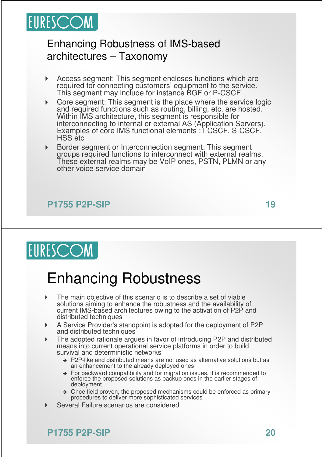

### Enhancing Robustness of IMS-based architectures – Taxonomy

- Access segment: This segment encloses functions which are required for connecting customers' equipment to the service. This segment may include for instance BGF or P-CSCF
- **Core segment: This segment is the place where the service logic** and required functions such as routing, billing, etc. are hosted. Within IMS architecture, this segment is responsible for interconnecting to internal or external AS (Application Servers). Examples of core IMS functional elements : I-CSCF, S-CSCF, HSS etc
- Border segment or Interconnection segment: This segment groups required functions to interconnect with external realms. These external realms may be VoIP ones, PSTN, PLMN or any other voice service domain

#### **P1755 P2P-SIP 19**

**EURESCOM** 

## Enhancing Robustness

- The main objective of this scenario is to describe a set of viable solutions aiming to enhance the robustness and the availability of current IMS-based architectures owing to the activation of P2P and distributed techniques
- A Service Provider's standpoint is adopted for the deployment of P2P and distributed techniques
- The adopted rationale argues in favor of introducing P2P and distributed means into current operational service platforms in order to build survival and deterministic networks
	- → P2P-like and distributed means are not used as alternative solutions but as an enhancement to the already deployed ones
	- $\rightarrow$  For backward compatibility and for migration issues, it is recommended to enforce the proposed solutions as backup ones in the earlier stages of deployment
	- $\rightarrow$  Once field proven, the proposed mechanisms could be enforced as primary procedures to deliver more sophisticated services
- Several Failure scenarios are considered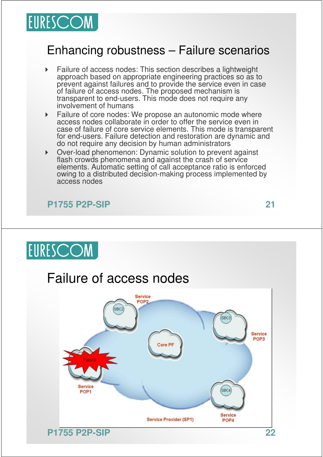

### Enhancing robustness – Failure scenarios

- Failure of access nodes: This section describes a lightweight approach based on appropriate engineering practices so as to prevent against failures and to provide the service even in case of failure of access nodes. The proposed mechanism is transparent to end-users. This mode does not require any involvement of humans
- **Failure of core nodes: We propose an autonomic mode where** access nodes collaborate in order to offer the service even in case of failure of core service elements. This mode is transparent for end-users. Failure detection and restoration are dynamic and do not require any decision by human administrators
- Over-load phenomenon: Dynamic solution to prevent against flash crowds phenomena and against the crash of service elements. Automatic setting of call acceptance ratio is enforced owing to a distributed decision-making process implemented by access nodes

#### **P1755 P2P-SIP 21**



## Failure of access nodes

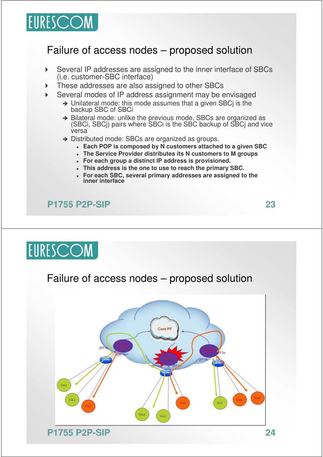

### Failure of access nodes – proposed solution

- Several IP addresses are assigned to the inner interface of SBCs (i.e. customer-SBC interface)
- These addresses are also assigned to other SBCs
- Several modes of IP address assignment may be envisaged
	- → Unilateral mode: this mode assumes that a given SBCi is the backup SBC of SBCi
	- $\rightarrow$  Bilateral mode: unlike the previous mode, SBCs are organized as (SBCi, SBCj) pairs where SBCi is the SBC backup of SBCj and vice versa
	- → Distributed mode: SBCs are organized as groups.
		- **Each POP is composed by N customers attached to a given SBC**
		- **The Service Provider distributes its N customers to M groups**
		- **For each group a distinct IP address is provisioned.**
		- **This address is the one to use to reach the primary SBC.**
		- **For each SBC, several primary addresses are assigned to the inner interface**

**P1755 P2P-SIP 23**

EURESCOM

### Failure of access nodes – proposed solution

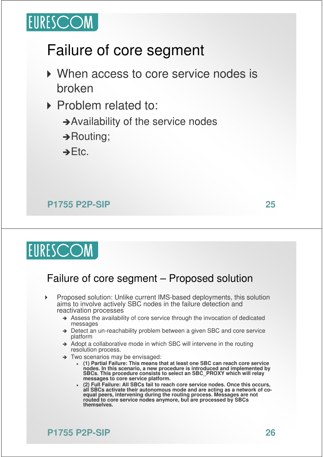

## Failure of core segment

- ▶ When access to core service nodes is broken
- Problem related to:
	- → Availability of the service nodes
	- → Routing;

 $\rightarrow$  Etc.

#### **P1755 P2P-SIP 25**



### Failure of core segment – Proposed solution

- Proposed solution: Unlike current IMS-based deployments, this solution aims to involve actively SBC nodes in the failure detection and reactivation processes
	- $\rightarrow$  Assess the availability of core service through the invocation of dedicated messages
	- → Detect an un-reachability problem between a given SBC and core service platform
	- $\rightarrow$  Adopt a collaborative mode in which SBC will intervene in the routing resolution process.
	- → Two scenarios may be envisaged:
		- $\bullet$  **(1) Partial Failure: This means that at least one SBC can reach core service nodes. In this scenario, a new procedure is introduced and implemented by SBCs. This procedure consists to select an SBC\_PROXY which will relay messages to core service platform.**
		- $\bullet$  **(2) Full Failure: All SBCs fail to reach core service nodes. Once this occurs, all SBCs activate their autonomous mode and are acting as a network of coequal peers, intervening during the routing process. Messages are not routed to core service nodes anymore, but are processed by SBCs themselves.**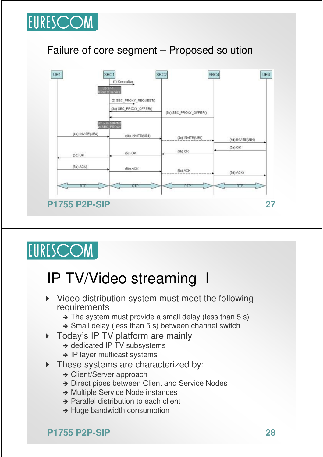

### Failure of core segment – Proposed solution



# EURESCOM

## IP TV/Video streaming I

- Video distribution system must meet the following requirements
	- $\rightarrow$  The system must provide a small delay (less than 5 s)
	- $\rightarrow$  Small delay (less than 5 s) between channel switch
- Today's IP TV platform are mainly
	- → dedicated IP TV subsystems
	- $\rightarrow$  IP layer multicast systems
- These systems are characterized by:
	- → Client/Server approach
	- → Direct pipes between Client and Service Nodes
	- **→ Multiple Service Node instances**
	- → Parallel distribution to each client
	- $\rightarrow$  Huge bandwidth consumption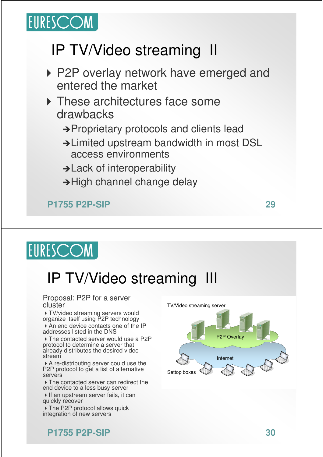

# IP TV/Video streaming II

- ▶ P2P overlay network have emerged and entered the market
- **These architectures face some** drawbacks
	- → Proprietary protocols and clients lead
	- → Limited upstream bandwidth in most DSL access environments
	- $\rightarrow$  Lack of interoperability
	- $\rightarrow$  High channel change delay

**P1755 P2P-SIP 29**

**EURESCOM** 

# IP TV/Video streaming III

#### Proposal: P2P for a server cluster

TV/video streaming servers would organize itself using P2P technology

An end device contacts one of the IP addresses listed in the DNS

▶ The contacted server would use a P2P protocol to determine a server that already distributes the desired video stream

A re-distributing server could use the P2P protocol to get a list of alternative servers

 $\triangleright$  The contacted server can redirect the end device to a less busy server

If an upstream server fails, it can quickly recover

▶ The P2P protocol allows quick integration of new servers